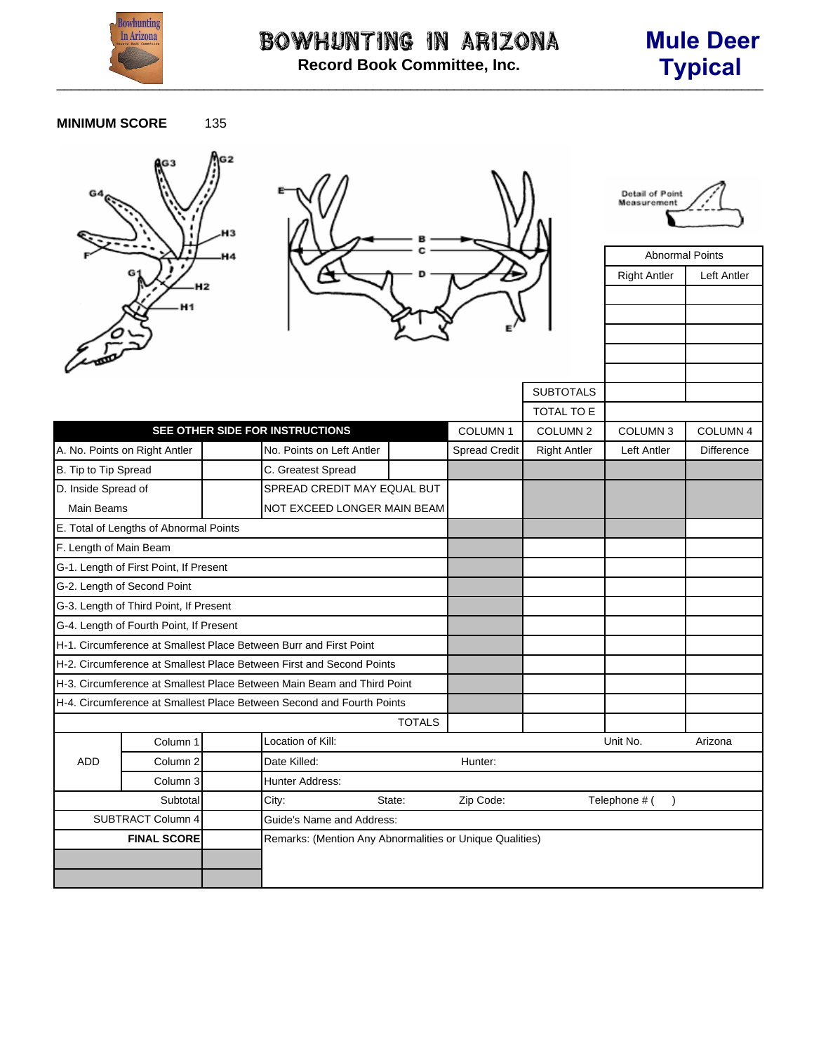

## **MINIMUM SCORE** 135







| A. No. Points on Right Antler                      | SEE OTHER SIDE FOR INSTRUCTIONS                                        |               |                           | <b>SUBTOTALS</b>           | <b>Right Antler</b>                                      | <b>Left Antler</b> |
|----------------------------------------------------|------------------------------------------------------------------------|---------------|---------------------------|----------------------------|----------------------------------------------------------|--------------------|
|                                                    |                                                                        |               |                           |                            |                                                          |                    |
|                                                    |                                                                        |               |                           |                            |                                                          |                    |
|                                                    |                                                                        |               |                           | TOTAL TO E                 |                                                          |                    |
|                                                    |                                                                        |               | <b>COLUMN1</b>            | COLUMN <sub>2</sub>        | COLUMN <sub>3</sub>                                      | COLUMN 4           |
|                                                    | No. Points on Left Antler                                              |               | <b>Spread Credit</b>      | <b>Right Antler</b>        | Left Antler                                              | Difference         |
|                                                    | C. Greatest Spread                                                     |               |                           |                            |                                                          |                    |
| D. Inside Spread of<br>SPREAD CREDIT MAY EQUAL BUT |                                                                        |               |                           |                            |                                                          |                    |
| <b>Main Beams</b><br>NOT EXCEED LONGER MAIN BEAM   |                                                                        |               |                           |                            |                                                          |                    |
| E. Total of Lengths of Abnormal Points             |                                                                        |               |                           |                            |                                                          |                    |
| F. Length of Main Beam                             |                                                                        |               |                           |                            |                                                          |                    |
| G-1. Length of First Point, If Present             |                                                                        |               |                           |                            |                                                          |                    |
| G-2. Length of Second Point                        |                                                                        |               |                           |                            |                                                          |                    |
| G-3. Length of Third Point, If Present             |                                                                        |               |                           |                            |                                                          |                    |
| G-4. Length of Fourth Point, If Present            |                                                                        |               |                           |                            |                                                          |                    |
|                                                    | H-1. Circumference at Smallest Place Between Burr and First Point      |               |                           |                            |                                                          |                    |
|                                                    | H-2. Circumference at Smallest Place Between First and Second Points   |               |                           |                            |                                                          |                    |
|                                                    | H-3. Circumference at Smallest Place Between Main Beam and Third Point |               |                           |                            |                                                          |                    |
|                                                    | H-4. Circumference at Smallest Place Between Second and Fourth Points  |               |                           |                            |                                                          |                    |
|                                                    |                                                                        | <b>TOTALS</b> |                           |                            |                                                          |                    |
| Column 1                                           | Location of Kill:                                                      |               |                           |                            | Unit No.                                                 | Arizona            |
| Column <sub>2</sub>                                | Date Killed:                                                           |               | Hunter:                   |                            |                                                          |                    |
| Column 3                                           | Hunter Address:                                                        |               |                           |                            |                                                          |                    |
| Subtotal                                           | City:                                                                  | State:        | Zip Code:                 | Telephone # (<br>$\lambda$ |                                                          |                    |
|                                                    |                                                                        |               |                           |                            |                                                          |                    |
| <b>SUBTRACT Column 4</b>                           |                                                                        |               |                           |                            |                                                          |                    |
|                                                    | <b>FINAL SCORE</b>                                                     |               | Guide's Name and Address: |                            | Remarks: (Mention Any Abnormalities or Unique Qualities) |                    |